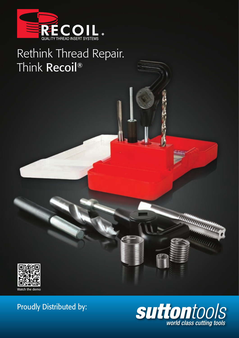

# Rethink Thread Repair. Think Recoil®



# Proudly Distributed by:



ummmmm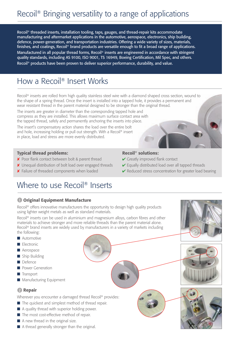# Recoil® Bringing versatility to a range of applications

Recoil® threaded inserts, installation tooling, taps, gauges, and thread-repair kits accommodate manufacturing and aftermarket applications in the automotive, aerospace, electronics, ship building, defence, power-generation, and transportation industries. Offering a wide variety of sizes, materials, finishes, and coatings, Recoil® brand products are versatile enough to fit a broad range of applications. Manufactured in all popular thread forms, Recoil<sup>®</sup> inserts are engineered in accordance with stringent quality standards, including AS 9100, ISO 9001, TS 16949, Boeing Certification, Mil Spec, and others. Recoil® products have been proven to deliver superior performance, durability, and value.

# How a Recoil® Insert Works

Recoil<sup>®</sup> inserts are rolled from high quality stainless steel wire with a diamond shaped cross section, wound to the shape of a spring thread. Once the insert is installed into a tapped hole, it provides a permanent and wear resistant thread in the parent material designed to be stronger than the original thread.

The inserts are greater in diameter than the corresponding tapped hole and compress as they are installed. This allows maximum surface contact area with the tapped thread, safely and permanently anchoring the inserts into place.

The insert's compensatory action shares the load over the entire bolt and hole, increasing holding or pull out strength. With a Recoil® insert in place, load and stress are more evenly distributed.

### Typical thread problems:

- ✘ Poor flank contact between bolt & parent thread
- ✘ Unequal distribution of bolt load over engaged threads
- ✘ Failure of threaded components when loaded

### Recoil® solutions:

- $\checkmark$  Greatly improved flank contact
- $\checkmark$  Equally distributed load over all tapped threads
- $\vee$  Reduced stress concentration for greater load bearing

# Where to use Recoil<sup>®</sup> Inserts

# **1 Original Equipment Manufacture**

Recoil<sup>®</sup> offers innovative manufacturers the opportunity to design high quality products using lighter weight metals as well as standard materials.

Recoil® inserts can be used in aluminium and magnesium alloys, carbon fibres and other materials to achieve stronger and more reliable threads than the parent material alone. Recoil<sup>®</sup> brand inserts are widely used by manufacturers in a variety of markets including the following:

- Automotive
- Electronic
- Aerospace
- Ship Building
- Defence
- Power Generation
- Transport
- Manufacturing Equipment

# 2 Repair

Wherever you encounter a damaged thread Recoil<sup>®</sup> provides:

- The quickest and simplest method of thread repair.
- A quality thread with superior holding power.
- The most cost-effective method of repair.
- A new thread in the original size.
- A thread generally stronger than the original.





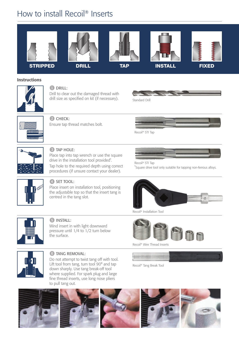# How to install Recoil® Inserts





Wind insert in with light downward

**6 TANG REMOVAL:** 

pressure until 1/4 to 1/2 turn below the surface.

Do not attempt to twist tang off with tool. Lift tool from tang, turn tool 90° and tap down sharply. Use tang break-off tool where supplied. For spark plug and large fine thread inserts, use long nose pliers



Recoil® Wire Thread Inserts



Recoil® Tang Break Tool

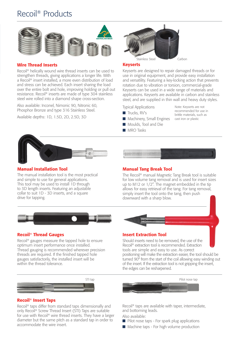# Recoil® Products



### Wire Thread Inserts

Recoil® helically wound wire thread inserts can be used to strengthen threads, giving applications a longer life. With a Recoil® insert installed, a more even distribution of load and stress can be achieved. Each insert sharing the load over the entire bolt and hole, improving holding or pull out resistance. Recoil® inserts are made of type 304 stainless steel wire rolled into a diamond shape cross-section.

Also available: Inconel, Nimonic 90, Nitronic 60, Phosphor Bronze and type 316 Stainless Steel.

Available depths: 1D, 1.5D, 2D, 2.5D, 3D



#### Keyserts

Keyserts are designed to repair damaged threads or for use in original equipment, and provide easy installation and versatility. Featuring a key-locking action that prevents rotation due to vibration or torsion, commercial-grade Keyserts can be used in a wide range of materials and applications. Keyserts are available in carbon and stainless steel, and are supplied in thin wall and heavy duty styles.

> Note: Keyserts are not recommended for use in brittle materials, such as cast iron or plastic

Typical Applications

- Trucks, RV's
- Machinery, Small Engines
- Moulds, Tool and Die
- MRO Tasks



### Manual Installation Tool

The manual installation tool is the most practical and simple to use for general applications. This tool may be used to install 1D through to 3D length inserts. Featuring an adjustable collar to suit 1D - 3D inserts, and a square drive for tapping.



#### Manual Tang Break Tool

The Recoil® manual Magnetic Tang Break tool is suitable for low volume tang removal and is used for insert sizes up to M12 or 1/2". The magnet embedded in the tip allows for easy retrieval of the tang. For tang removal, simply insert the tool onto the tang, then push downward with a sharp blow.



### Recoil® Thread Gauges

Recoil® gauges measure the tapped hole to ensure optimum insert performance once installed. Thread gauging is recommended wherever precision threads are required. If the finished tapped hole gauges satisfactorily, the installed insert will be within the thread tolerance.



#### Recoil® Insert Taps

Recoil® taps differ from standard taps dimensionally and only Recoil® Screw Thread Insert (STI) Taps are suitable for use with Recoil® wire thread inserts. They have a larger diameter but the same pitch as a standard tap in order to accommodate the wire insert.



#### Insert Extraction Tool

Should inserts need to be removed, the use of the Recoil® extraction tool is recommended. Extraction tools are simple and easy to use. As correct positioning will make the extraction easier, the tool should be turned 90° from the start of the coil allowing easy winding out of the insert. If the extraction tool is not gripping the insert, the edges can be resharpened.



Recoil® taps are available with taper, intermediate, and bottoming leads.

Also available:

- Pilot nose taps For spark plug applications
- Machine taps For high volume production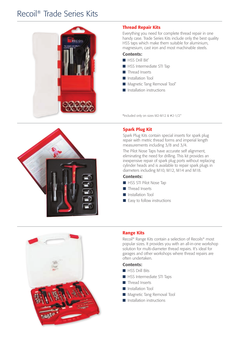# Recoil® Trade Series Kits



## Thread Repair Kits

Everything you need for complete thread repair in one handy case. Trade Series Kits include only the best quality HSS taps which make them suitable for aluminium, magnesium, cast iron and most machinable steels.

#### Contents:

- HSS Drill Bit<sup>\*</sup>
- HSS Intermediate STI Tap
- Thread Inserts
- Installation Tool
- Magnetic Tang Removal Tool\*
- Installation instructions

\*Included only on sizes M2-M12 & #2-1/2"



### Spark Plug Kit

Spark Plug Kits contain special inserts for spark plug repair with metric thread forms and imperial length measurements including 3/8 and 3/4.

The Pilot Nose Taps have accurate self alignment, eliminating the need for drilling. This kit provides an inexpensive repair of spark plug ports without replacing cylinder heads and is available to repair spark plugs in diameters including M10, M12, M14 and M18.

#### Contents:

- HSS STI Pilot Nose Tap
- Thread Inserts
- Installation Tool
- Easy to follow instructions



### Range Kits

Recoil® Range Kits contain a selection of Recoils® most popular sizes. It provides you with an all-in-one workshop solution for multi-diameter thread repairs. It's ideal for garages and other workshops where thread repairs are often undertaken.

#### Contents:

- HSS Drill Bits
- HSS Intermediate STI Taps
- Thread Inserts
- Installation Tool
- Magnetic Tang Removal Tool
- Installation instructions